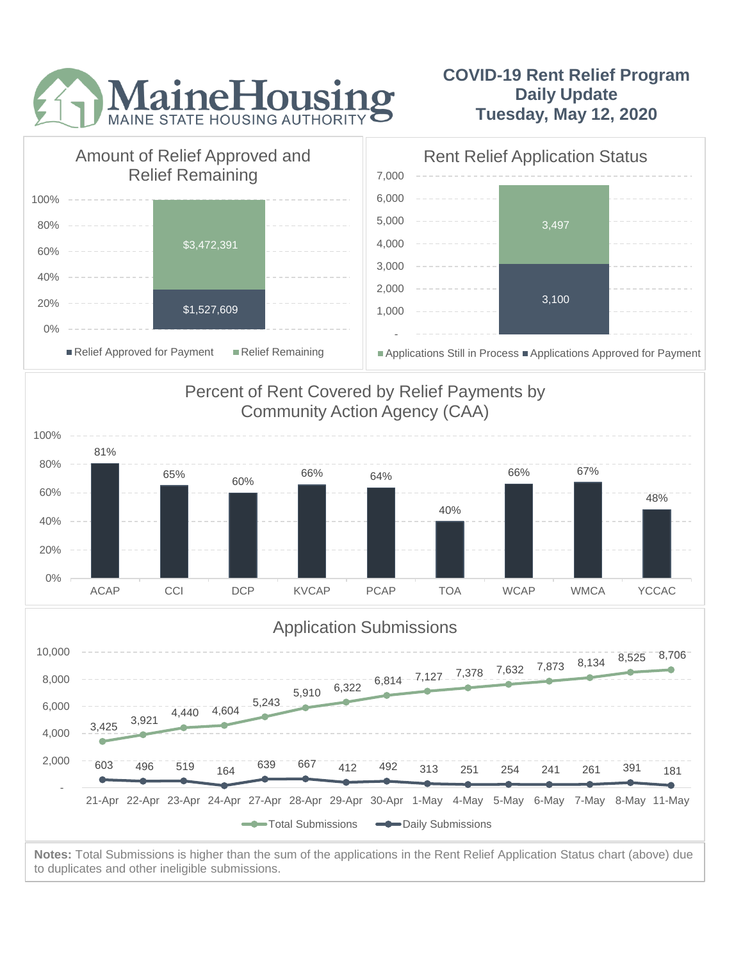

## **COVID-19 Rent Relief Program Daily Update Tuesday, May 12, 2020**



to duplicates and other ineligible submissions.